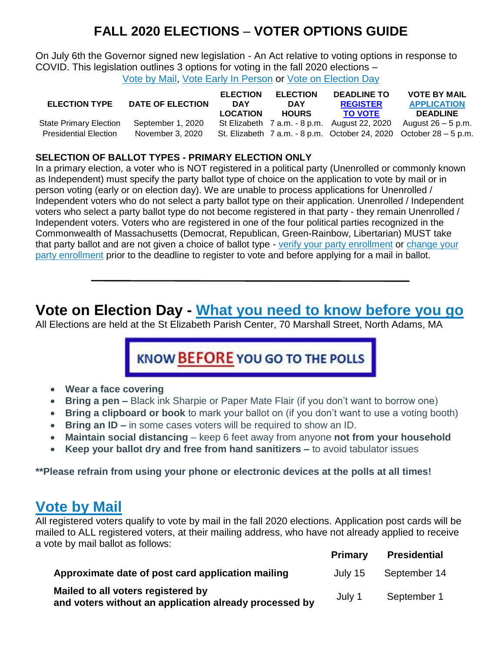## **FALL 2020 ELECTIONS** – **VOTER OPTIONS GUIDE**

On July 6th the Governor signed new legislation - An Act relative to voting options in response to COVID. This legislation outlines 3 options for voting in the fall 2020 elections – [Vote by Mail,](https://cms2.revize.com/revize/eastonma/departments/town_clerk1/absentee_ballots_applications.php) [Vote Early In Person](https://cms2.revize.com/revize/eastonma/departments/town_clerk1/early_voting/index.php) or [Vote on Election Day](https://cms2.revize.com/revize/eastonma/departments/town_clerk1/know_before_you_go.php)

| <b>ELECTION TYPE</b>          | DATE OF ELECTION  | <b>ELECTION</b><br><b>DAY</b><br><b>LOCATION</b> | <b>ELECTION</b><br><b>DAY</b><br><b>HOURS</b> | <b>DEADLINE TO</b><br><b>REGISTER</b><br><b>TO VOTE</b> | <b>VOTE BY MAIL</b><br><b>APPLICATION</b><br><b>DEADLINE</b>       |
|-------------------------------|-------------------|--------------------------------------------------|-----------------------------------------------|---------------------------------------------------------|--------------------------------------------------------------------|
| <b>State Primary Election</b> | September 1, 2020 |                                                  |                                               | St Elizabeth 7 a.m. - 8 p.m. August 22, 2020            | August $26 - 5$ p.m.                                               |
| <b>Presidential Election</b>  | November 3, 2020  |                                                  |                                               |                                                         | St. Elizabeth 7 a.m. - 8 p.m. October 24, 2020 October 28 – 5 p.m. |

### **SELECTION OF BALLOT TYPES - PRIMARY ELECTION ONLY**

In a primary election, a voter who is NOT registered in a political party (Unenrolled or commonly known as Independent) must specify the party ballot type of choice on the application to vote by mail or in person voting (early or on election day). We are unable to process applications for Unenrolled / Independent voters who do not select a party ballot type on their application. Unenrolled / Independent voters who select a party ballot type do not become registered in that party - they remain Unenrolled / Independent voters. Voters who are registered in one of the four political parties recognized in the Commonwealth of Massachusetts (Democrat, Republican, Green-Rainbow, Libertarian) MUST take that party ballot and are not given a choice of ballot type - [verify your party enrollment](https://www.sec.state.ma.us/VoterRegistrationSearch/MyVoterRegStatus.aspx) or [change your](https://www.sec.state.ma.us/OVR/)  [party enrollment](https://www.sec.state.ma.us/OVR/) prior to the deadline to register to vote and before applying for a mail in ballot.

## **Vote on Election Day - [What you need to know before you go](http://www.easton.ma.us/knowbeforeyougo.pdf)**

All Elections are held at the St Elizabeth Parish Center, 70 Marshall Street, North Adams, MA

# KNOW BEFORE YOU GO TO THE POLLS

- **Wear a face covering**
- **Bring a pen –** Black ink Sharpie or Paper Mate Flair (if you don't want to borrow one)
- **Bring a clipboard or book** to mark your ballot on (if you don't want to use a voting booth)
- **Bring an ID –** in some cases voters will be required to show an ID.
- **Maintain social distancing** keep 6 feet away from anyone **not from your household**
- **Keep your ballot dry and free from hand sanitizers –** to avoid tabulator issues

**\*\*Please refrain from using your phone or electronic devices at the polls at all times!**

### **[Vote by Mail](https://cms2.revize.com/revize/eastonma/departments/town_clerk1/absentee_ballots_applications.php)**

All registered voters qualify to vote by mail in the fall 2020 elections. Application post cards will be mailed to ALL registered voters, at their mailing address, who have not already applied to receive a vote by mail ballot as follows:

|                                                                                              | <b>Primary</b> | <b>Presidential</b> |
|----------------------------------------------------------------------------------------------|----------------|---------------------|
| Approximate date of post card application mailing                                            | July 15        | September 14        |
| Mailed to all voters registered by<br>and voters without an application already processed by | July 1         | September 1         |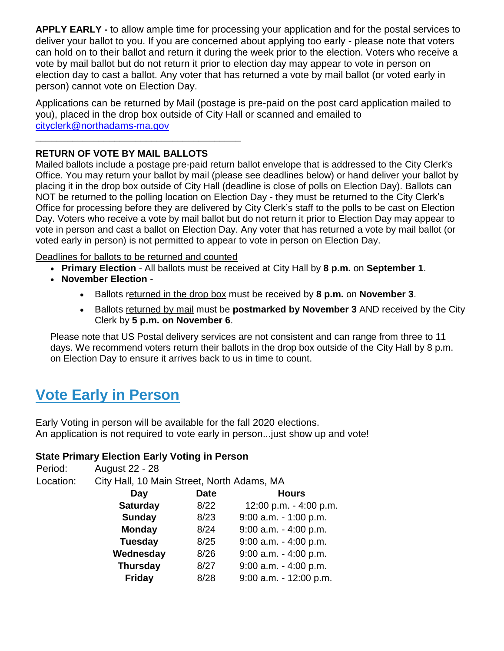**APPLY EARLY -** to allow ample time for processing your application and for the postal services to deliver your ballot to you. If you are concerned about applying too early - please note that voters can hold on to their ballot and return it during the week prior to the election. Voters who receive a vote by mail ballot but do not return it prior to election day may appear to vote in person on election day to cast a ballot. Any voter that has returned a vote by mail ballot (or voted early in person) cannot vote on Election Day.

Applications can be returned by Mail (postage is pre-paid on the post card application mailed to you), placed in the drop box outside of City Hall or scanned and emailed to [cityclerk@northadams-ma.gov](mailto:cityclerk@northadams-ma.gov)

### **RETURN OF VOTE BY MAIL BALLOTS**

**\_\_\_\_\_\_\_\_\_\_\_\_\_\_\_\_\_\_\_\_\_\_\_\_\_\_\_\_\_\_\_\_\_\_\_\_\_\_\_**

Mailed ballots include a postage pre-paid return ballot envelope that is addressed to the City Clerk's Office. You may return your ballot by mail (please see deadlines below) or hand deliver your ballot by placing it in the drop box outside of City Hall (deadline is close of polls on Election Day). Ballots can NOT be returned to the polling location on Election Day - they must be returned to the City Clerk's Office for processing before they are delivered by City Clerk's staff to the polls to be cast on Election Day. Voters who receive a vote by mail ballot but do not return it prior to Election Day may appear to vote in person and cast a ballot on Election Day. Any voter that has returned a vote by mail ballot (or voted early in person) is not permitted to appear to vote in person on Election Day.

Deadlines for ballots to be returned and counted

- **Primary Election** All ballots must be received at City Hall by **8 p.m.** on **September 1**.
- **November Election**
	- Ballots returned in the drop box must be received by **8 p.m.** on **November 3**.
	- Ballots returned by mail must be **postmarked by November 3** AND received by the City Clerk by **5 p.m. on November 6**.

Please note that US Postal delivery services are not consistent and can range from three to 11 days. We recommend voters return their ballots in the drop box outside of the City Hall by 8 p.m. on Election Day to ensure it arrives back to us in time to count.

## **[Vote Early in Person](https://cms2.revize.com/revize/eastonma/departments/town_clerk1/early_voting/index.php)**

Early Voting in person will be available for the fall 2020 elections. An application is not required to vote early in person...just show up and vote!

### **State Primary Election Early Voting in Person**

| Period:   | <b>August 22 - 28</b>                      |      |                          |  |  |
|-----------|--------------------------------------------|------|--------------------------|--|--|
| Location: | City Hall, 10 Main Street, North Adams, MA |      |                          |  |  |
|           | <b>Date</b><br>Day                         |      | <b>Hours</b>             |  |  |
|           | <b>Saturday</b>                            | 8/22 | 12:00 p.m. - 4:00 p.m.   |  |  |
|           | Sunday                                     | 8/23 | $9:00$ a.m. $-1:00$ p.m. |  |  |
|           | <b>Monday</b>                              | 8/24 | $9:00$ a.m. $-4:00$ p.m. |  |  |
|           | <b>Tuesday</b>                             | 8/25 | $9:00$ a.m. $-4:00$ p.m. |  |  |
|           | Wednesday                                  | 8/26 | $9:00$ a.m. $-4:00$ p.m. |  |  |
|           | <b>Thursday</b>                            | 8/27 | $9:00$ a.m. $-4:00$ p.m. |  |  |
|           | <b>Friday</b>                              | 8/28 | $9:00$ a.m. - 12:00 p.m. |  |  |
|           |                                            |      |                          |  |  |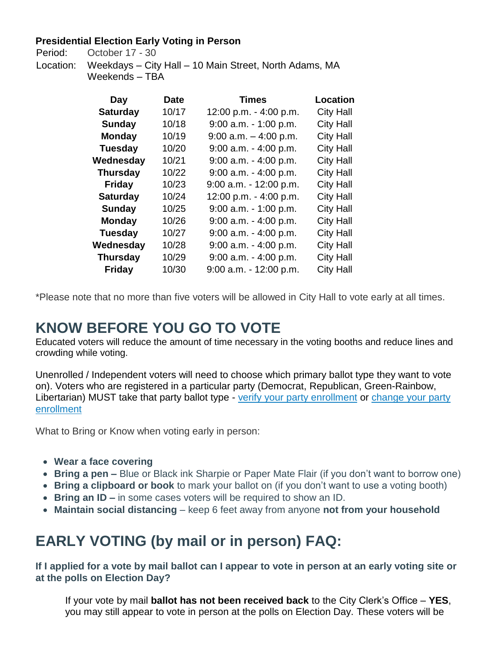### **Presidential Election Early Voting in Person**

Period: October 17 - 30

Location: Weekdays – City Hall – 10 Main Street, North Adams, MA Weekends – TBA

| Day             | Date  | <b>Times</b>              | Location         |
|-----------------|-------|---------------------------|------------------|
| <b>Saturday</b> | 10/17 | 12:00 p.m. - 4:00 p.m.    | <b>City Hall</b> |
| <b>Sunday</b>   | 10/18 | $9:00$ a.m. $-1:00$ p.m.  | <b>City Hall</b> |
| <b>Monday</b>   | 10/19 | $9:00$ a.m. $-4:00$ p.m.  | <b>City Hall</b> |
| <b>Tuesday</b>  | 10/20 | $9:00$ a.m. $-4:00$ p.m.  | <b>City Hall</b> |
| Wednesday       | 10/21 | $9:00$ a.m. $-4:00$ p.m.  | <b>City Hall</b> |
| <b>Thursday</b> | 10/22 | $9:00$ a.m. $-4:00$ p.m.  | <b>City Hall</b> |
| <b>Friday</b>   | 10/23 | $9:00$ a.m. $-12:00$ p.m. | <b>City Hall</b> |
| <b>Saturday</b> | 10/24 | 12:00 p.m. - 4:00 p.m.    | <b>City Hall</b> |
| <b>Sunday</b>   | 10/25 | $9:00$ a.m. $-1:00$ p.m.  | <b>City Hall</b> |
| <b>Monday</b>   | 10/26 | $9:00$ a.m. $-4:00$ p.m.  | <b>City Hall</b> |
| <b>Tuesday</b>  | 10/27 | $9:00$ a.m. $-4:00$ p.m.  | <b>City Hall</b> |
| Wednesday       | 10/28 | $9:00$ a.m. $-4:00$ p.m.  | <b>City Hall</b> |
| <b>Thursday</b> | 10/29 | $9:00$ a.m. $-4:00$ p.m.  | <b>City Hall</b> |
| <b>Friday</b>   | 10/30 | $9:00$ a.m. $-12:00$ p.m. | <b>City Hall</b> |

\*Please note that no more than five voters will be allowed in City Hall to vote early at all times.

## **KNOW BEFORE YOU GO TO VOTE**

Educated voters will reduce the amount of time necessary in the voting booths and reduce lines and crowding while voting.

Unenrolled / Independent voters will need to choose which primary ballot type they want to vote on). Voters who are registered in a particular party (Democrat, Republican, Green-Rainbow, Libertarian) MUST take that party ballot type - [verify your party enrollment](https://www.sec.state.ma.us/VoterRegistrationSearch/MyVoterRegStatus.aspx) or [change your party](https://www.sec.state.ma.us/OVR/)  [enrollment](https://www.sec.state.ma.us/OVR/)

What to Bring or Know when voting early in person:

- **Wear a face covering**
- **Bring a pen –** Blue or Black ink Sharpie or Paper Mate Flair (if you don't want to borrow one)
- **Bring a clipboard or book** to mark your ballot on (if you don't want to use a voting booth)
- **Bring an ID –** in some cases voters will be required to show an ID.
- **Maintain social distancing** keep 6 feet away from anyone **not from your household**

# **EARLY VOTING (by mail or in person) FAQ:**

**If I applied for a vote by mail ballot can I appear to vote in person at an early voting site or at the polls on Election Day?**

If your vote by mail **ballot has not been received back** to the City Clerk's Office – **YES**, you may still appear to vote in person at the polls on Election Day. These voters will be